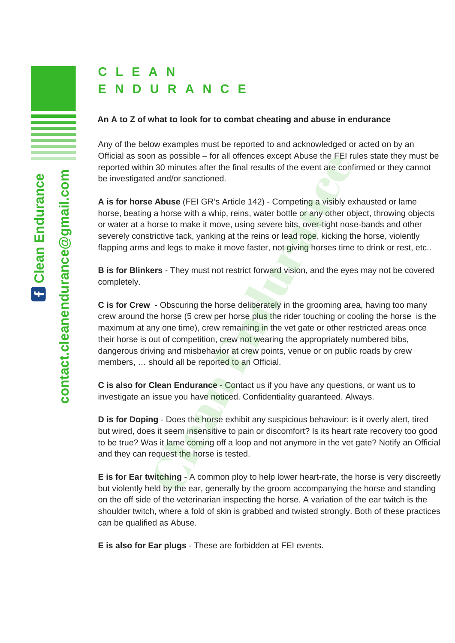### **An A to Z of what to look for to combat cheating and abuse in endurance**

Any of the below examples must be reported to and acknowledged or acted on by an Official as soon as possible – for all offences except Abuse the FEI rules state they must be reported within 30 minutes after the final results of the event are confirmed or they cannot be investigated and/or sanctioned.

**A is for horse Abuse** (FEI GR's Article 142) - Competing a visibly exhausted or lame horse, beating a horse with a whip, reins, water bottle or any other object, throwing objects or water at a horse to make it move, using severe bits, over-tight nose-bands and other severely constrictive tack, yanking at the reins or lead rope, kicking the horse, violently flapping arms and legs to make it move faster, not giving horses time to drink or rest, etc..

**B is for Blinkers** - They must not restrict forward vision, and the eyes may not be covered completely.

**C is for Crew** - Obscuring the horse deliberately in the grooming area, having too many crew around the horse (5 crew per horse plus the rider touching or cooling the horse is the maximum at any one time), crew remaining in the vet gate or other restricted areas once their horse is out of competition, crew not wearing the appropriately numbered bibs, dangerous driving and misbehavior at crew points, venue or on public roads by crew members, ... should all be reported to an Official. or as possible – for all offences except Abuse the FEI ria<br>
and/or sanctioned.<br> **Example 18 Abuse** (FEI GR's Article 142) - Competing a visibly example of d and/or sanctioned.<br> **Example 142)** - Competing a visibly example

**C is also for Clean Endurance** - Contact us if you have any questions, or want us to investigate an issue you have noticed. Confidentiality guaranteed. Always.

**D is for Doping** - Does the horse exhibit any suspicious behaviour: is it overly alert, tired but wired, does it seem insensitive to pain or discomfort? Is its heart rate recovery too good to be true? Was it lame coming off a loop and not anymore in the vet gate? Notify an Official and they can request the horse is tested.

**E is for Ear twitching** - A common ploy to help lower heart-rate, the horse is very discreetly but violently held by the ear, generally by the groom accompanying the horse and standing on the off side of the veterinarian inspecting the horse. A variation of the ear twitch is the shoulder twitch, where a fold of skin is grabbed and twisted strongly. Both of these practices can be qualified as Abuse.

**E is also for Ear plugs** - These are forbidden at FEI events.

**anEnd**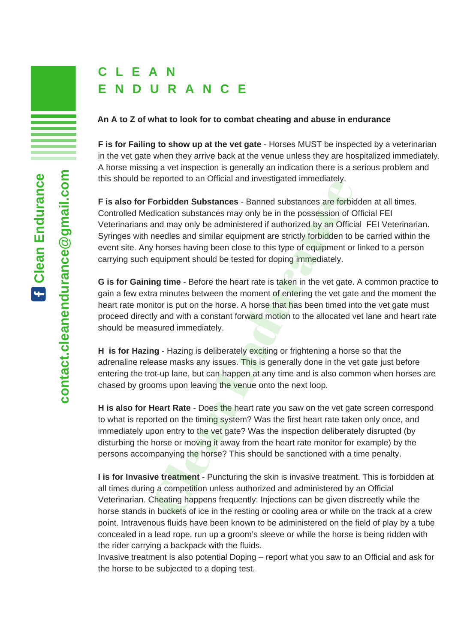### **An A to Z of what to look for to combat cheating and abuse in endurance**

**F is for Failing to show up at the vet gate** - Horses MUST be inspected by a veterinarian in the vet gate when they arrive back at the venue unless they are hospitalized immediately. A horse missing a vet inspection is generally an indication there is a serious problem and this should be reported to an Official and investigated immediately.

**F is also for Forbidden Substances** - Banned substances are forbidden at all times. Controlled Medication substances may only be in the possession of Official FEI Veterinarians and may only be administered if authorized by an Official FEI Veterinarian. Syringes with needles and similar equipment are strictly forbidden to be carried within the event site. Any horses having been close to this type of equipment or linked to a person carrying such equipment should be tested for doping immediately. reported to an Onicial and investigated immediately.<br> **Forbidden Substances** - Banned substances are forbid<br>
dication substances may only be in the possession of C<br>
and may only be administered if authorized by an Official

**G is for Gaining time** - Before the heart rate is taken in the vet gate. A common practice to gain a few extra minutes between the moment of entering the vet gate and the moment the heart rate monitor is put on the horse. A horse that has been timed into the vet gate must proceed directly and with a constant forward motion to the allocated vet lane and heart rate should be measured immediately.

**H is for Hazing** - Hazing is deliberately exciting or frightening a horse so that the adrenaline release masks any issues. This is generally done in the vet gate just before entering the trot-up lane, but can happen at any time and is also common when horses are chased by grooms upon leaving the venue onto the next loop.

**H is also for Heart Rate** - Does the heart rate you saw on the vet gate screen correspond to what is reported on the timing system? Was the first heart rate taken only once, and immediately upon entry to the vet gate? Was the inspection deliberately disrupted (by disturbing the horse or moving it away from the heart rate monitor for example) by the persons accompanying the horse? This should be sanctioned with a time penalty.

**I is for Invasive treatment** - Puncturing the skin is invasive treatment. This is forbidden at all times during a competition unless authorized and administered by an Official Veterinarian. Cheating happens frequently: Injections can be given discreetly while the horse stands in buckets of ice in the resting or cooling area or while on the track at a crew point. Intravenous fluids have been known to be administered on the field of play by a tube concealed in a lead rope, run up a groom's sleeve or while the horse is being ridden with the rider carrying a backpack with the fluids.

Invasive treatment is also potential Doping – report what you saw to an Official and ask for the horse to be subjected to a doping test.

**anEnd**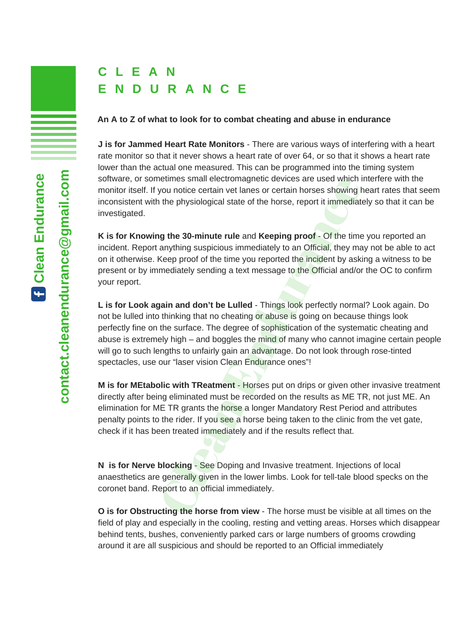#### **An A to Z of what to look for to combat cheating and abuse in endurance**

**J is for Jammed Heart Rate Monitors** - There are various ways of interfering with a heart rate monitor so that it never shows a heart rate of over 64, or so that it shows a heart rate lower than the actual one measured. This can be programmed into the timing system software, or sometimes small electromagnetic devices are used which interfere with the monitor itself. If you notice certain vet lanes or certain horses showing heart rates that seem inconsistent with the physiological state of the horse, report it immediately so that it can be investigated.

**K is for Knowing the 30-minute rule** and **Keeping proof** - Of the time you reported an incident. Report anything suspicious immediately to an Official, they may not be able to act on it otherwise. Keep proof of the time you reported the incident by asking a witness to be present or by immediately sending a text message to the Official and/or the OC to confirm your report.

**L is for Look again and don't be Lulled** - Things look perfectly normal? Look again. Do not be lulled into thinking that no cheating or abuse is going on because things look perfectly fine on the surface. The degree of sophistication of the systematic cheating and abuse is extremely high – and boggles the mind of many who cannot imagine certain people will go to such lengths to unfairly gain an advantage. Do not look through rose-tinted spectacles, use our "laser vision Clean Endurance ones"! netimes small electromagnetic devices are used which in<br>you notice certain vet lanes or certain horses showing it<br>the physiological state of the horse, report it immediate<br>anything suppositions immediately to an Official,

**M is for MEtabolic with TReatment** - Horses put on drips or given other invasive treatment directly after being eliminated must be recorded on the results as ME TR, not just ME. An elimination for ME TR grants the **horse a longer Mandatory Rest Period and attributes** penalty points to the rider. If you see a horse being taken to the clinic from the vet gate, check if it has been treated immediately and if the results reflect that.

**N is for Nerve blocking** - See Doping and Invasive treatment. Injections of local anaesthetics are generally given in the lower limbs. Look for tell-tale blood specks on the coronet band. Report to an official immediately.

**O is for Obstructing the horse from view** - The horse must be visible at all times on the field of play and especially in the cooling, resting and vetting areas. Horses which disappear behind tents, bushes, conveniently parked cars or large numbers of grooms crowding around it are all suspicious and should be reported to an Official immediately

**anEnd**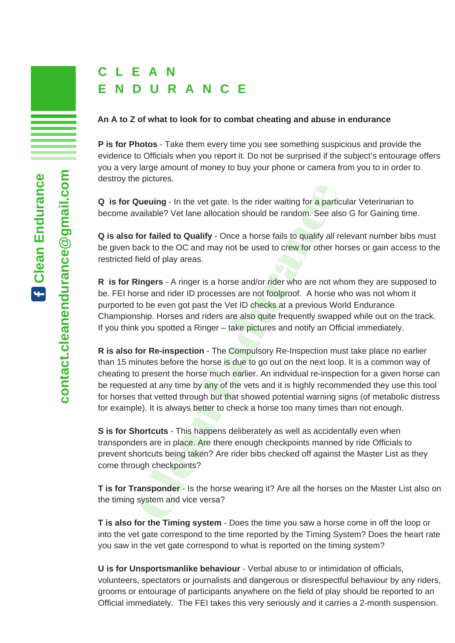### **An A to Z of what to look for to combat cheating and abuse in endurance**

**P is for Photos** - Take them every time you see something suspicious and provide the evidence to Officials when you report it. Do not be surprised if the subject's entourage offers you a very large amount of money to buy your phone or camera from you to in order to destroy the pictures.

**Q is for Queuing** - In the vet gate. Is the rider waiting for a particular Veterinarian to become available? Vet lane allocation should be random. See also G for Gaining time.

**Q is also for failed to Qualify** - Once a horse fails to qualify all relevant number bibs must be given back to the OC and may not be used to crew for other horses or gain access to the restricted field of play areas.

**R is for Ringers** - A ringer is a horse and/or rider who are not whom they are supposed to be. FEI horse and rider ID processes are not foolproof. A horse who was not whom it purported to be even got past the Vet ID checks at a previous World Endurance Championship. Horses and riders are also quite frequently swapped while out on the track. If you think you spotted a Ringer – take pictures and notify an Official immediately.

**R is also for Re-inspection** - The Compulsory Re-Inspection must take place no earlier than 15 minutes before the horse is due to go out on the next loop. It is a common way of cheating to present the horse much earlier. An individual re-inspection for a given horse can be requested at any time by any of the vets and it is highly recommended they use this tool for horses that vetted through but that showed potential warning signs (of metabolic distress for example). It is always better to check a horse too many times than not enough. Queuing - In the vet gate. Is the rider waiting for a particaliable? Vet lane allocation should be random. See als<br>for failed to Qualify - Once a horse fails to qualify all rack to the OC and may not be used to crew for ot

**S is for Shortcuts** - This happens deliberately as well as accidentally even when transponders are in place. Are there enough checkpoints manned by ride Officials to prevent shortcuts being taken? Are rider bibs checked off against the Master List as they come through checkpoints?

**T is for Transponder** - Is the horse wearing it? Are all the horses on the Master List also on the timing system and vice versa?

**T is also for the Timing system** - Does the time you saw a horse come in off the loop or into the vet gate correspond to the time reported by the Timing System? Does the heart rate you saw in the vet gate correspond to what is reported on the timing system?

**U is for Unsportsmanlike behaviour** - Verbal abuse to or intimidation of officials, volunteers, spectators or journalists and dangerous or disrespectful behaviour by any riders, grooms or entourage of participants anywhere on the field of play should be reported to an Official immediately. The FEI takes this very seriously and it carries a 2-month suspension.

**anEnd**